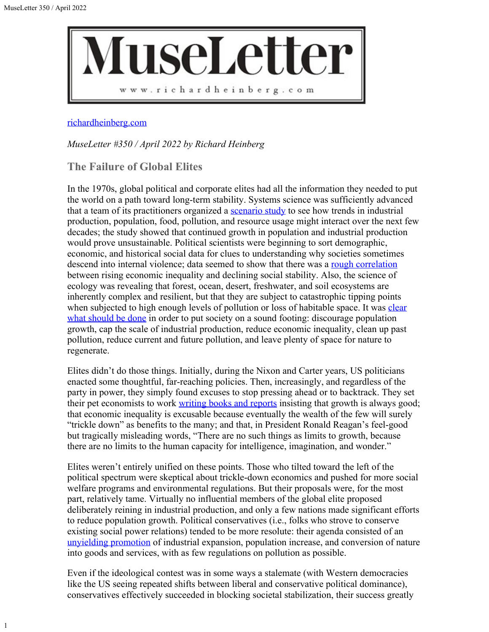1



## [richardheinberg.com](http://richardheinberg.com/)

*MuseLetter #350 / April 2022 by Richard Heinberg*

**The Failure of Global Elites**

In the 1970s, global political and corporate elites had all the information they needed to put the world on a path toward long-term stability. Systems science was sufficiently advanced that a team of its practitioners organized a [scenario study](https://www.resilience.org/stories/2022-02-24/the-limits-to-growth-at-50-from-scenarios-to-unfolding-reality/) to see how trends in industrial production, population, food, pollution, and resource usage might interact over the next few decades; the study showed that continued growth in population and industrial production would prove unsustainable. Political scientists were beginning to sort demographic, economic, and historical social data for clues to understanding why societies sometimes descend into internal violence; data seemed to show that there was a <u>rough correlation</u> between rising economic inequality and declining social stability. Also, the science of ecology was revealing that forest, ocean, desert, freshwater, and soil ecosystems are inherently complex and resilient, but that they are subject to catastrophic tipping points when subjected to high enough levels of pollution or loss of habitable space. It was [clear](https://www.scribd.com/user/15397192/The-Wecskaop-Project) [what should be done](https://www.scribd.com/user/15397192/The-Wecskaop-Project) in order to put society on a sound footing: discourage population growth, cap the scale of industrial production, reduce economic inequality, clean up past pollution, reduce current and future pollution, and leave plenty of space for nature to regenerate.

Elites didn't do those things. Initially, during the Nixon and Carter years, US politicians enacted some thoughtful, far-reaching policies. Then, increasingly, and regardless of the party in power, they simply found excuses to stop pressing ahead or to backtrack. They set their pet economists to work [writing books and reports](https://ourworld.unu.edu/en/review-of-collision-course-endless-growth-on-a-finite-planet) insisting that growth is always good; that economic inequality is excusable because eventually the wealth of the few will surely "trickle down" as benefits to the many; and that, in President Ronald Reagan's feel-good but tragically misleading words, "There are no such things as limits to growth, because there are no limits to the human capacity for intelligence, imagination, and wonder."

Elites weren't entirely unified on these points. Those who tilted toward the left of the political spectrum were skeptical about trickle-down economics and pushed for more social welfare programs and environmental regulations. But their proposals were, for the most part, relatively tame. Virtually no influential members of the global elite proposed deliberately reining in industrial production, and only a few nations made significant efforts to reduce population growth. Political conservatives (i.e., folks who strove to conserve existing social power relations) tended to be more resolute: their agenda consisted of an [unyielding promotion](https://scorecard.lcv.org/) of industrial expansion, population increase, and conversion of nature into goods and services, with as few regulations on pollution as possible.

Even if the ideological contest was in some ways a stalemate (with Western democracies like the US seeing repeated shifts between liberal and conservative political dominance), conservatives effectively succeeded in blocking societal stabilization, their success greatly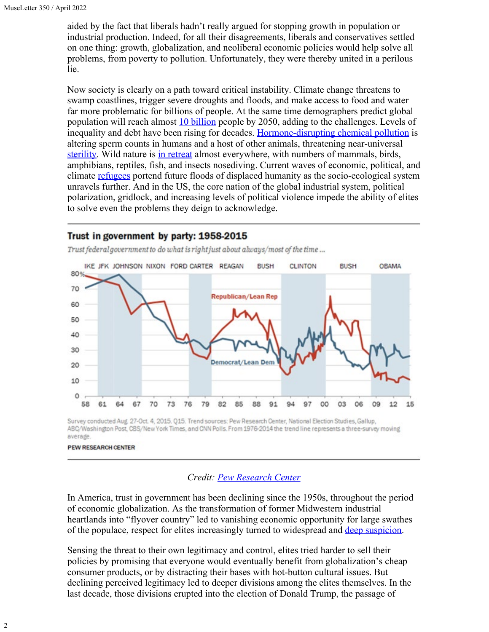aided by the fact that liberals hadn't really argued for stopping growth in population or industrial production. Indeed, for all their disagreements, liberals and conservatives settled on one thing: growth, globalization, and neoliberal economic policies would help solve all problems, from poverty to pollution. Unfortunately, they were thereby united in a perilous lie.

Now society is clearly on a path toward critical instability. Climate change threatens to swamp coastlines, trigger severe droughts and floods, and make access to food and water far more problematic for billions of people. At the same time demographers predict global population will reach almost **10 billion** people by 2050, adding to the challenges. Levels of inequality and debt have been rising for decades. [Hormone-disrupting chemical pollution](https://www.ncbi.nlm.nih.gov/pmc/articles/PMC6043754/) is altering sperm counts in humans and a host of other animals, threatening near-universal [sterility](https://www.simonandschuster.com/books/Count-Down/Shanna-H-Swan/9781982113674). Wild nature is [in retreat](https://www.bbc.com/news/science-environment-54091048) almost everywhere, with numbers of mammals, birds, amphibians, reptiles, fish, and insects nosediving. Current waves of economic, political, and climate [refugees](https://www.brookings.edu/research/the-climate-crisis-migration-and-refugees/) portend future floods of displaced humanity as the socio-ecological system unravels further. And in the US, the core nation of the global industrial system, political polarization, gridlock, and increasing levels of political violence impede the ability of elites to solve even the problems they deign to acknowledge.

## Trust in government by party: 1958-2015

IKE JFK JOHNSON NIXON FORD CARTER REAGAN **RUSH CLINTON BUSH OBAMA** 80% 70 **Republican/Lean Rep** 60 50 40 30 Democra 20 10 0 58 64 67 73 76 03 12 15 61 70 79 82 85 88 91 97 oo 06 09

Trust federal government to do what is right just about always/most of the time ...

Survey conducted Aug. 27-Oct. 4, 2015. Q15. Trend sources: Pew Research Center, National Election Studies, Gallup, ABC/Washington Post, CBS/New York Times, and CNN Polls. From 1976-2014 the trend line represents a three-survey moving average

## PEW RESEARCH CENTER

## *Credit: [Pew Research Center](https://www.pewresearch.org/politics/2015/11/23/1-trust-in-government-1958-2015/)*

In America, trust in government has been declining since the 1950s, throughout the period of economic globalization. As the transformation of former Midwestern industrial heartlands into "flyover country" led to vanishing economic opportunity for large swathes of the populace, respect for elites increasingly turned to widespread and [deep suspicion](https://www.theguardian.com/news/2018/nov/29/why-we-stopped-trusting-elites-the-new-populism).

Sensing the threat to their own legitimacy and control, elites tried harder to sell their policies by promising that everyone would eventually benefit from globalization's cheap consumer products, or by distracting their bases with hot-button cultural issues. But declining perceived legitimacy led to deeper divisions among the elites themselves. In the last decade, those divisions erupted into the election of Donald Trump, the passage of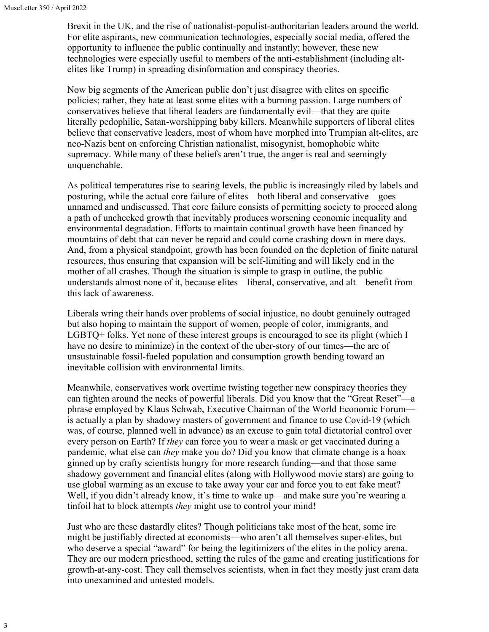Brexit in the UK, and the rise of nationalist-populist-authoritarian leaders around the world. For elite aspirants, new communication technologies, especially social media, offered the opportunity to influence the public continually and instantly; however, these new technologies were especially useful to members of the anti-establishment (including altelites like Trump) in spreading disinformation and conspiracy theories.

Now big segments of the American public don't just disagree with elites on specific policies; rather, they hate at least some elites with a burning passion. Large numbers of conservatives believe that liberal leaders are fundamentally evil—that they are quite literally pedophilic, Satan-worshipping baby killers. Meanwhile supporters of liberal elites believe that conservative leaders, most of whom have morphed into Trumpian alt-elites, are neo-Nazis bent on enforcing Christian nationalist, misogynist, homophobic white supremacy. While many of these beliefs aren't true, the anger is real and seemingly unquenchable.

As political temperatures rise to searing levels, the public is increasingly riled by labels and posturing, while the actual core failure of elites—both liberal and conservative—goes unnamed and undiscussed. That core failure consists of permitting society to proceed along a path of unchecked growth that inevitably produces worsening economic inequality and environmental degradation. Efforts to maintain continual growth have been financed by mountains of debt that can never be repaid and could come crashing down in mere days. And, from a physical standpoint, growth has been founded on the depletion of finite natural resources, thus ensuring that expansion will be self-limiting and will likely end in the mother of all crashes. Though the situation is simple to grasp in outline, the public understands almost none of it, because elites—liberal, conservative, and alt—benefit from this lack of awareness.

Liberals wring their hands over problems of social injustice, no doubt genuinely outraged but also hoping to maintain the support of women, people of color, immigrants, and LGBTQ+ folks. Yet none of these interest groups is encouraged to see its plight (which I have no desire to minimize) in the context of the uber-story of our times—the arc of unsustainable fossil-fueled population and consumption growth bending toward an inevitable collision with environmental limits.

Meanwhile, conservatives work overtime twisting together new conspiracy theories they can tighten around the necks of powerful liberals. Did you know that the "Great Reset"—a phrase employed by Klaus Schwab, Executive Chairman of the World Economic Forum is actually a plan by shadowy masters of government and finance to use Covid-19 (which was, of course, planned well in advance) as an excuse to gain total dictatorial control over every person on Earth? If *they* can force you to wear a mask or get vaccinated during a pandemic, what else can *they* make you do? Did you know that climate change is a hoax ginned up by crafty scientists hungry for more research funding—and that those same shadowy government and financial elites (along with Hollywood movie stars) are going to use global warming as an excuse to take away your car and force you to eat fake meat? Well, if you didn't already know, it's time to wake up—and make sure you're wearing a tinfoil hat to block attempts *they* might use to control your mind!

Just who are these dastardly elites? Though politicians take most of the heat, some ire might be justifiably directed at economists—who aren't all themselves super-elites, but who deserve a special "award" for being the legitimizers of the elites in the policy arena. They are our modern priesthood, setting the rules of the game and creating justifications for growth-at-any-cost. They call themselves scientists, when in fact they mostly just cram data into unexamined and untested models.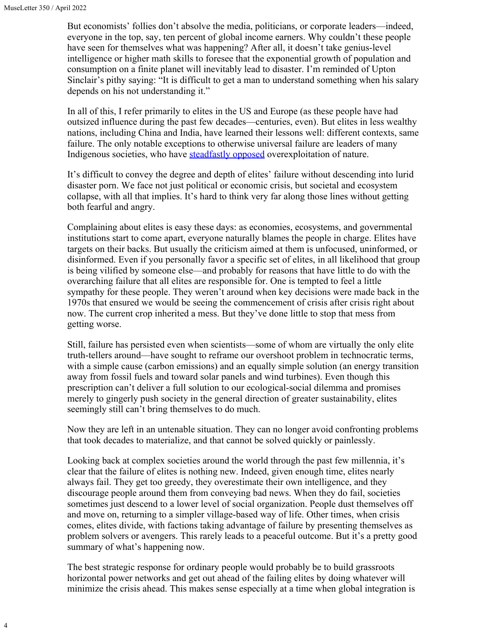4

But economists' follies don't absolve the media, politicians, or corporate leaders—indeed, everyone in the top, say, ten percent of global income earners. Why couldn't these people have seen for themselves what was happening? After all, it doesn't take genius-level intelligence or higher math skills to foresee that the exponential growth of population and consumption on a finite planet will inevitably lead to disaster. I'm reminded of Upton Sinclair's pithy saying: "It is difficult to get a man to understand something when his salary depends on his not understanding it."

In all of this, I refer primarily to elites in the US and Europe (as these people have had outsized influence during the past few decades—centuries, even). But elites in less wealthy nations, including China and India, have learned their lessons well: different contexts, same failure. The only notable exceptions to otherwise universal failure are leaders of many Indigenous societies, who have [steadfastly opposed](https://www.unep.org/news-and-stories/story/indigenous-peoples-and-nature-they-protect) overexploitation of nature.

It's difficult to convey the degree and depth of elites' failure without descending into lurid disaster porn. We face not just political or economic crisis, but societal and ecosystem collapse, with all that implies. It's hard to think very far along those lines without getting both fearful and angry.

Complaining about elites is easy these days: as economies, ecosystems, and governmental institutions start to come apart, everyone naturally blames the people in charge. Elites have targets on their backs. But usually the criticism aimed at them is unfocused, uninformed, or disinformed. Even if you personally favor a specific set of elites, in all likelihood that group is being vilified by someone else—and probably for reasons that have little to do with the overarching failure that all elites are responsible for. One is tempted to feel a little sympathy for these people. They weren't around when key decisions were made back in the 1970s that ensured we would be seeing the commencement of crisis after crisis right about now. The current crop inherited a mess. But they've done little to stop that mess from getting worse.

Still, failure has persisted even when scientists—some of whom are virtually the only elite truth-tellers around—have sought to reframe our overshoot problem in technocratic terms, with a simple cause (carbon emissions) and an equally simple solution (an energy transition away from fossil fuels and toward solar panels and wind turbines). Even though this prescription can't deliver a full solution to our ecological-social dilemma and promises merely to gingerly push society in the general direction of greater sustainability, elites seemingly still can't bring themselves to do much.

Now they are left in an untenable situation. They can no longer avoid confronting problems that took decades to materialize, and that cannot be solved quickly or painlessly.

Looking back at complex societies around the world through the past few millennia, it's clear that the failure of elites is nothing new. Indeed, given enough time, elites nearly always fail. They get too greedy, they overestimate their own intelligence, and they discourage people around them from conveying bad news. When they do fail, societies sometimes just descend to a lower level of social organization. People dust themselves off and move on, returning to a simpler village-based way of life. Other times, when crisis comes, elites divide, with factions taking advantage of failure by presenting themselves as problem solvers or avengers. This rarely leads to a peaceful outcome. But it's a pretty good summary of what's happening now.

The best strategic response for ordinary people would probably be to build grassroots horizontal power networks and get out ahead of the failing elites by doing whatever will minimize the crisis ahead. This makes sense especially at a time when global integration is